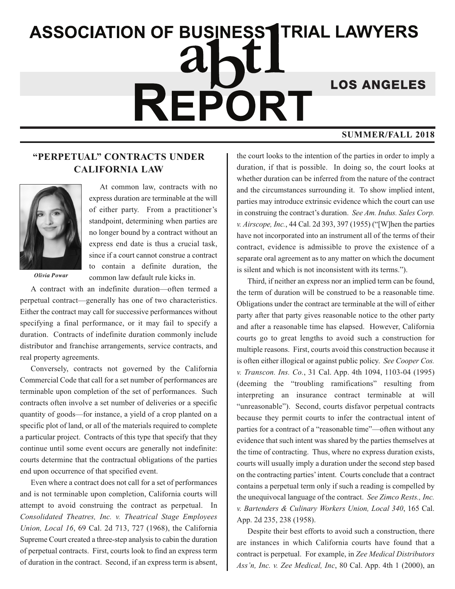## **ASSOCIATION OF BUSINESS1TRIAL LAWYERS LOS ANGELES** REPORT **SUMMER/FALL 2018**

## **"PERPETUAL" CONTRACTS UNDER CALIFORNIA LAW**



At common law, contracts with no express duration are terminable at the will of either party. From a practitioner's standpoint, determining when parties are no longer bound by a contract without an express end date is thus a crucial task, since if a court cannot construe a contract to contain a definite duration, the common law default rule kicks in.

*Olivia Powar*

A contract with an indefinite duration—often termed a perpetual contract—generally has one of two characteristics. Either the contract may call for successive performances without specifying a final performance, or it may fail to specify a duration. Contracts of indefinite duration commonly include distributor and franchise arrangements, service contracts, and real property agreements.

Conversely, contracts not governed by the California Commercial Code that call for a set number of performances are terminable upon completion of the set of performances. Such contracts often involve a set number of deliveries or a specific quantity of goods—for instance, a yield of a crop planted on a specific plot of land, or all of the materials required to complete a particular project. Contracts of this type that specify that they continue until some event occurs are generally not indefinite: courts determine that the contractual obligations of the parties end upon occurrence of that specified event.

Even where a contract does not call for a set of performances and is not terminable upon completion, California courts will attempt to avoid construing the contract as perpetual. In *Consolidated Theatres, Inc. v. Theatrical Stage Employees Union, Local 16*, 69 Cal. 2d 713, 727 (1968), the California Supreme Court created a three-step analysis to cabin the duration of perpetual contracts. First, courts look to find an express term of duration in the contract. Second, if an express term is absent, the court looks to the intention of the parties in order to imply a duration, if that is possible. In doing so, the court looks at whether duration can be inferred from the nature of the contract and the circumstances surrounding it. To show implied intent, parties may introduce extrinsic evidence which the court can use in construing the contract's duration. *See Am. Indus. Sales Corp. v. Airscope, Inc.*, 44 Cal. 2d 393, 397 (1955) ("[W]hen the parties have not incorporated into an instrument all of the terms of their contract, evidence is admissible to prove the existence of a separate oral agreement as to any matter on which the document is silent and which is not inconsistent with its terms.").

Third, if neither an express nor an implied term can be found, the term of duration will be construed to be a reasonable time. Obligations under the contract are terminable at the will of either party after that party gives reasonable notice to the other party and after a reasonable time has elapsed. However, California courts go to great lengths to avoid such a construction for multiple reasons. First, courts avoid this construction because it is often either illogical or against public policy. *See Cooper Cos. v. Transcon. Ins. Co.*, 31 Cal. App. 4th 1094, 1103-04 (1995) (deeming the "troubling ramifications" resulting from interpreting an insurance contract terminable at will "unreasonable"). Second, courts disfavor perpetual contracts because they permit courts to infer the contractual intent of parties for a contract of a "reasonable time"—often without any evidence that such intent was shared by the parties themselves at the time of contracting. Thus, where no express duration exists, courts will usually imply a duration under the second step based on the contracting parties'intent. Courts conclude that a contract contains a perpetual term only if such a reading is compelled by the unequivocal language of the contract. *See Zimco Rests., Inc. v. Bartenders & Culinary Workers Union, Local 340*, 165 Cal. App. 2d 235, 238 (1958).

Despite their best efforts to avoid such a construction, there are instances in which California courts have found that a contract is perpetual. For example, in *Zee Medical Distributors Ass'n, Inc. v. Zee Medical, Inc*, 80 Cal. App. 4th 1 (2000), an